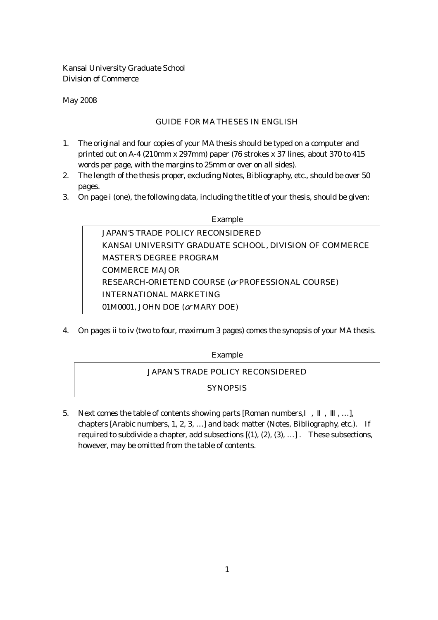Kansai University Graduate School Division of Commerce

May 2008

### GUIDE FOR MA THESES IN ENGLISH

- 1. The original and four copies of your MA thesis should be typed on a computer and printed out on A-4 (210mm x 297mm) paper (76 strokes x 37 lines, about 370 to 415 words per page, with the margins to 25mm or over on all sides).
- 2. The length of the thesis proper, excluding Notes, Bibliography, etc., should be over 50 pages.
- 3. On page i (one), the following data, including the title of your thesis, should be given:

# Example JAPAN'S TRADE POLICY RECONSIDERED KANSAI UNIVERSITY GRADUATE SCHOOL, DIVISION OF COMMERCE MASTER'S DEGREE PROGRAM COMMERCE MAJOR RESEARCH-ORIETEND COURSE (or PROFESSIONAL COURSE) INTERNATIONAL MARKETING 01M0001, JOHN DOE (or MARY DOE)

4. On pages ii to iv (two to four, maximum 3 pages) comes the synopsis of your MA thesis.

### Example

## JAPAN'S TRADE POLICY RECONSIDERED

### **SYNOPSIS**

5. Next comes the table of contents showing parts [Roman numbers, , , , , ...], chapters [Arabic numbers, 1, 2, 3, …] and back matter (Notes, Bibliography, etc.). If required to subdivide a chapter, add subsections  $[(1), (2), (3), ...]$ . These subsections, however, may be omitted from the table of contents.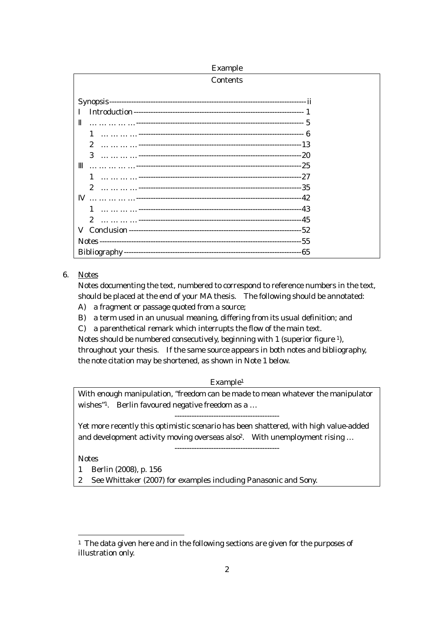Example

| <b>Contents</b>       |  |
|-----------------------|--|
|                       |  |
|                       |  |
|                       |  |
| 1                     |  |
| $\mathbf{2}$          |  |
| 3                     |  |
|                       |  |
| 1                     |  |
| $\mathbf{2}^{\prime}$ |  |
|                       |  |
|                       |  |
| $\overline{2}$        |  |
|                       |  |
|                       |  |
|                       |  |

#### 6. Notes

Notes documenting the text, numbered to correspond to reference numbers in the text, should be placed at the end of your MA thesis. The following should be annotated:

- A) a fragment or passage quoted from a source; B) a term used in an unusual meaning, differing from its usual definition; and
- C) a parenthetical remark which interrupts the flow of the main text.

Notes should be numbered consecutively, beginning with 1 (superior figure 1), throughout your thesis. If the same source appears in both notes and bibliography,

the note citation may be shortened, as shown in Note 1 below.

#### Example1

With enough manipulation, "freedom can be made to mean whatever the manipulator wishes"<sup>1</sup>. Berlin favoured negative freedom as a ...

-------------------------------------------

Yet more recently this optimistic scenario has been shattered, with high value-added and development activity moving overseas also<sup>2</sup>. With unemployment rising ...

-------------------------------------------

**Notes** 

 $\overline{a}$ 

1 Berlin (2008), p. 156

2 See Whittaker (2007) for examples including Panasonic and Sony.

<sup>&</sup>lt;sup>1</sup> The data given here and in the following sections are given for the purposes of illustration only.